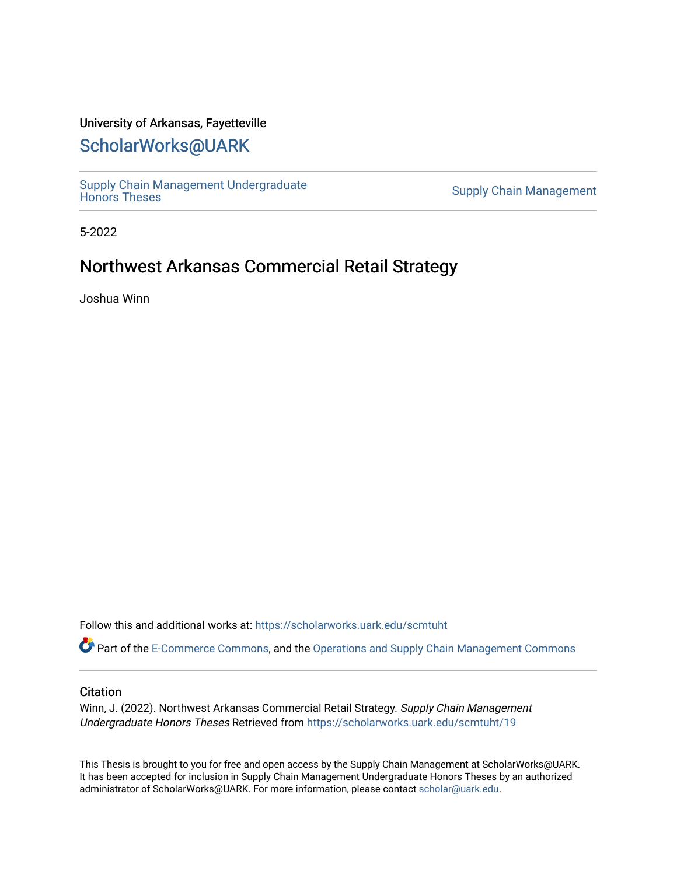## University of Arkansas, Fayetteville

# [ScholarWorks@UARK](https://scholarworks.uark.edu/)

Supply Chain Management Undergraduate<br>Honors Theses

**Supply Chain Management** 

5-2022

# Northwest Arkansas Commercial Retail Strategy

Joshua Winn

Follow this and additional works at: [https://scholarworks.uark.edu/scmtuht](https://scholarworks.uark.edu/scmtuht?utm_source=scholarworks.uark.edu%2Fscmtuht%2F19&utm_medium=PDF&utm_campaign=PDFCoverPages) 

Part of the [E-Commerce Commons](http://network.bepress.com/hgg/discipline/624?utm_source=scholarworks.uark.edu%2Fscmtuht%2F19&utm_medium=PDF&utm_campaign=PDFCoverPages), and the [Operations and Supply Chain Management Commons](http://network.bepress.com/hgg/discipline/1229?utm_source=scholarworks.uark.edu%2Fscmtuht%2F19&utm_medium=PDF&utm_campaign=PDFCoverPages) 

#### **Citation**

Winn, J. (2022). Northwest Arkansas Commercial Retail Strategy. Supply Chain Management Undergraduate Honors Theses Retrieved from [https://scholarworks.uark.edu/scmtuht/19](https://scholarworks.uark.edu/scmtuht/19?utm_source=scholarworks.uark.edu%2Fscmtuht%2F19&utm_medium=PDF&utm_campaign=PDFCoverPages)

This Thesis is brought to you for free and open access by the Supply Chain Management at ScholarWorks@UARK. It has been accepted for inclusion in Supply Chain Management Undergraduate Honors Theses by an authorized administrator of ScholarWorks@UARK. For more information, please contact [scholar@uark.edu](mailto:scholar@uark.edu).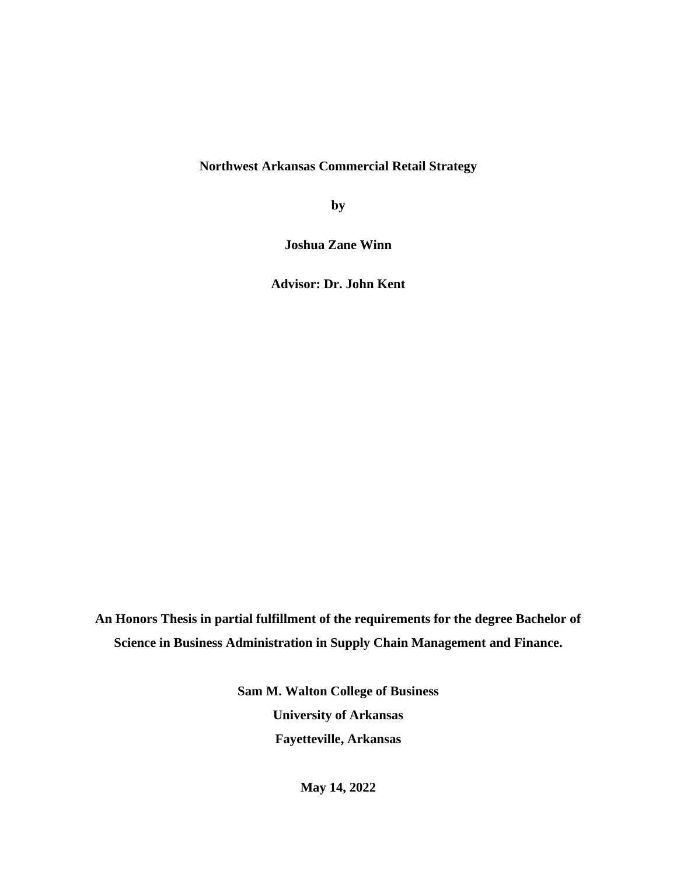**Northwest Arkansas Commercial Retail Strategy**

**by**

**Joshua Zane Winn**

**Advisor: Dr. John Kent**

**An Honors Thesis in partial fulfillment of the requirements for the degree Bachelor of Science in Business Administration in Supply Chain Management and Finance.**

> **Sam M. Walton College of Business University of Arkansas Fayetteville, Arkansas**

> > **May 14, 2022**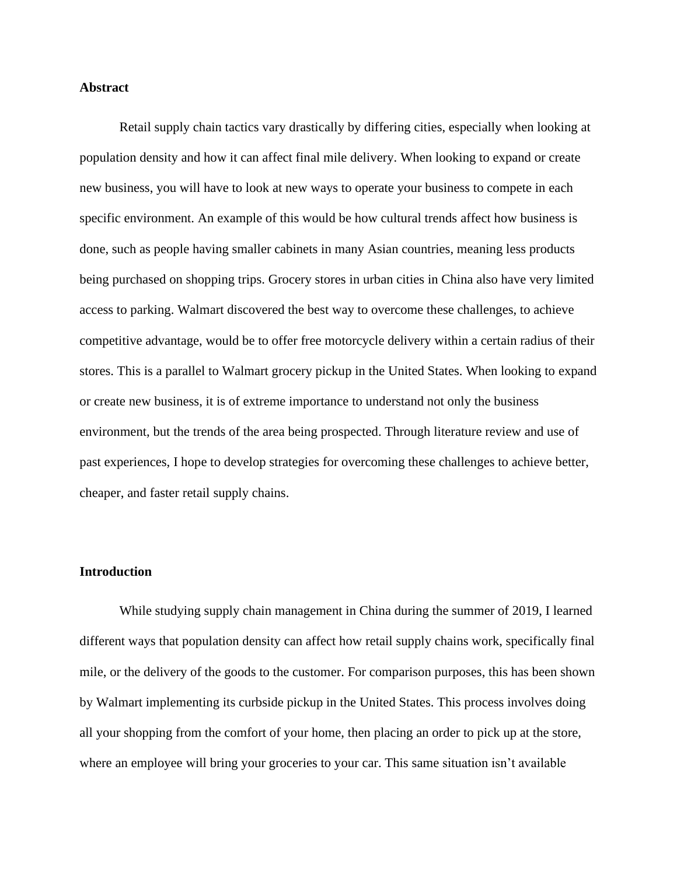#### **Abstract**

Retail supply chain tactics vary drastically by differing cities, especially when looking at population density and how it can affect final mile delivery. When looking to expand or create new business, you will have to look at new ways to operate your business to compete in each specific environment. An example of this would be how cultural trends affect how business is done, such as people having smaller cabinets in many Asian countries, meaning less products being purchased on shopping trips. Grocery stores in urban cities in China also have very limited access to parking. Walmart discovered the best way to overcome these challenges, to achieve competitive advantage, would be to offer free motorcycle delivery within a certain radius of their stores. This is a parallel to Walmart grocery pickup in the United States. When looking to expand or create new business, it is of extreme importance to understand not only the business environment, but the trends of the area being prospected. Through literature review and use of past experiences, I hope to develop strategies for overcoming these challenges to achieve better, cheaper, and faster retail supply chains.

#### **Introduction**

While studying supply chain management in China during the summer of 2019, I learned different ways that population density can affect how retail supply chains work, specifically final mile, or the delivery of the goods to the customer. For comparison purposes, this has been shown by Walmart implementing its curbside pickup in the United States. This process involves doing all your shopping from the comfort of your home, then placing an order to pick up at the store, where an employee will bring your groceries to your car. This same situation isn't available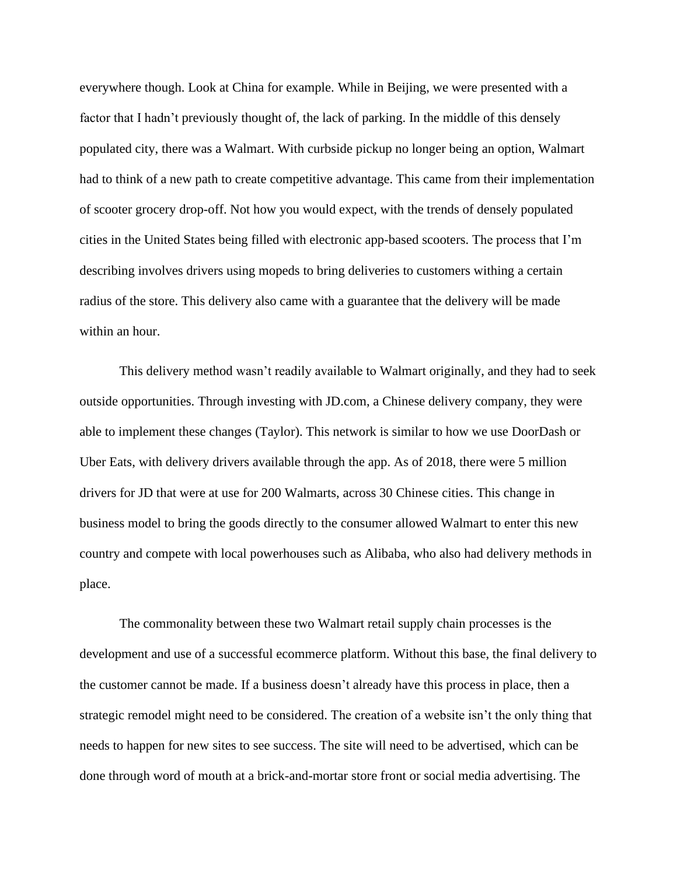everywhere though. Look at China for example. While in Beijing, we were presented with a factor that I hadn't previously thought of, the lack of parking. In the middle of this densely populated city, there was a Walmart. With curbside pickup no longer being an option, Walmart had to think of a new path to create competitive advantage. This came from their implementation of scooter grocery drop-off. Not how you would expect, with the trends of densely populated cities in the United States being filled with electronic app-based scooters. The process that I'm describing involves drivers using mopeds to bring deliveries to customers withing a certain radius of the store. This delivery also came with a guarantee that the delivery will be made within an hour.

This delivery method wasn't readily available to Walmart originally, and they had to seek outside opportunities. Through investing with JD.com, a Chinese delivery company, they were able to implement these changes (Taylor). This network is similar to how we use DoorDash or Uber Eats, with delivery drivers available through the app. As of 2018, there were 5 million drivers for JD that were at use for 200 Walmarts, across 30 Chinese cities. This change in business model to bring the goods directly to the consumer allowed Walmart to enter this new country and compete with local powerhouses such as Alibaba, who also had delivery methods in place.

The commonality between these two Walmart retail supply chain processes is the development and use of a successful ecommerce platform. Without this base, the final delivery to the customer cannot be made. If a business doesn't already have this process in place, then a strategic remodel might need to be considered. The creation of a website isn't the only thing that needs to happen for new sites to see success. The site will need to be advertised, which can be done through word of mouth at a brick-and-mortar store front or social media advertising. The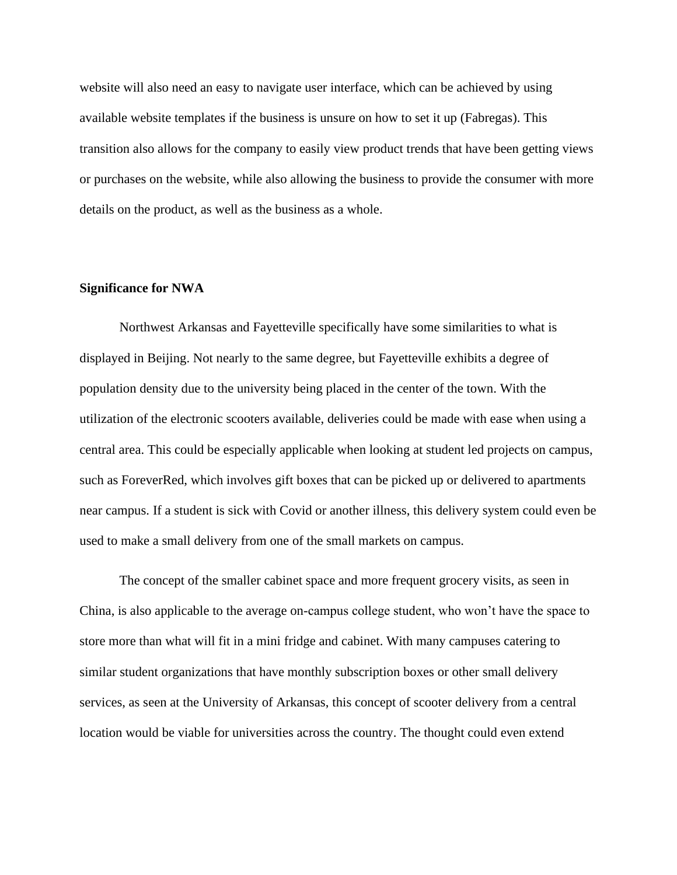website will also need an easy to navigate user interface, which can be achieved by using available website templates if the business is unsure on how to set it up (Fabregas). This transition also allows for the company to easily view product trends that have been getting views or purchases on the website, while also allowing the business to provide the consumer with more details on the product, as well as the business as a whole.

#### **Significance for NWA**

Northwest Arkansas and Fayetteville specifically have some similarities to what is displayed in Beijing. Not nearly to the same degree, but Fayetteville exhibits a degree of population density due to the university being placed in the center of the town. With the utilization of the electronic scooters available, deliveries could be made with ease when using a central area. This could be especially applicable when looking at student led projects on campus, such as ForeverRed, which involves gift boxes that can be picked up or delivered to apartments near campus. If a student is sick with Covid or another illness, this delivery system could even be used to make a small delivery from one of the small markets on campus.

The concept of the smaller cabinet space and more frequent grocery visits, as seen in China, is also applicable to the average on-campus college student, who won't have the space to store more than what will fit in a mini fridge and cabinet. With many campuses catering to similar student organizations that have monthly subscription boxes or other small delivery services, as seen at the University of Arkansas, this concept of scooter delivery from a central location would be viable for universities across the country. The thought could even extend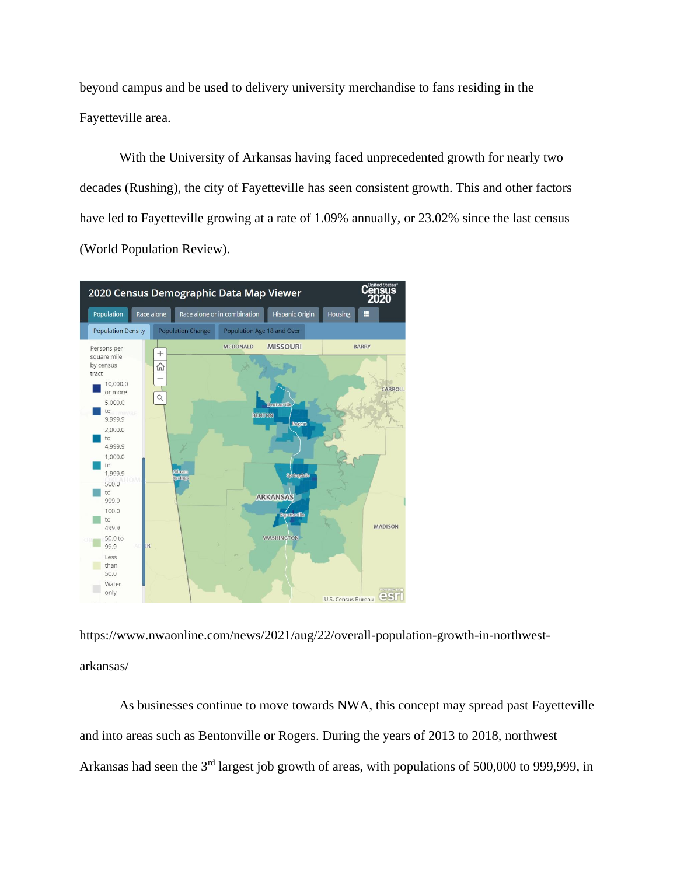beyond campus and be used to delivery university merchandise to fans residing in the Fayetteville area.

With the University of Arkansas having faced unprecedented growth for nearly two decades (Rushing), the city of Fayetteville has seen consistent growth. This and other factors have led to Fayetteville growing at a rate of 1.09% annually, or 23.02% since the last census (World Population Review).



https://www.nwaonline.com/news/2021/aug/22/overall-population-growth-in-northwestarkansas/

As businesses continue to move towards NWA, this concept may spread past Fayetteville and into areas such as Bentonville or Rogers. During the years of 2013 to 2018, northwest Arkansas had seen the 3<sup>rd</sup> largest job growth of areas, with populations of 500,000 to 999,999, in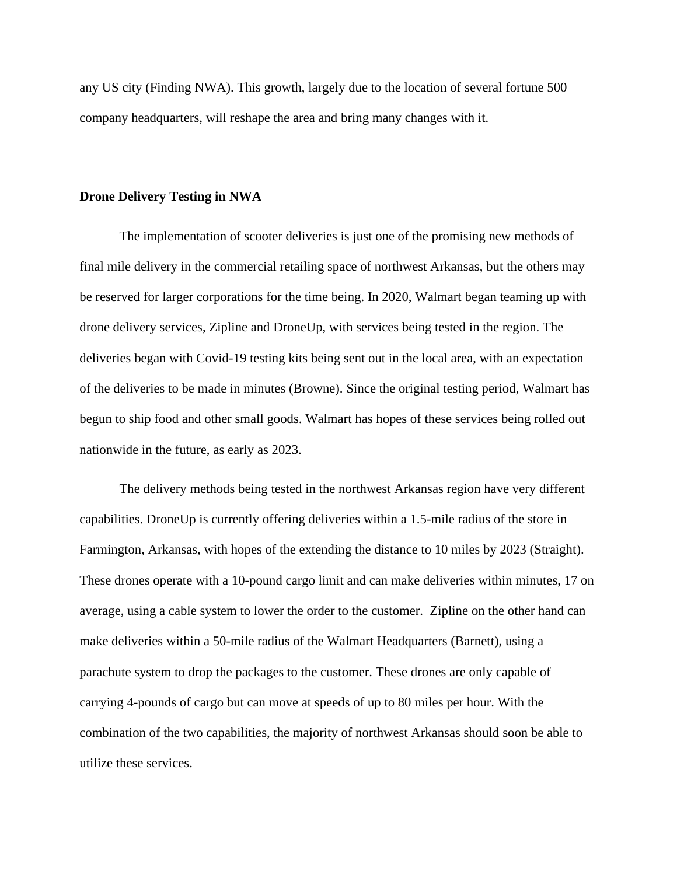any US city (Finding NWA). This growth, largely due to the location of several fortune 500 company headquarters, will reshape the area and bring many changes with it.

#### **Drone Delivery Testing in NWA**

The implementation of scooter deliveries is just one of the promising new methods of final mile delivery in the commercial retailing space of northwest Arkansas, but the others may be reserved for larger corporations for the time being. In 2020, Walmart began teaming up with drone delivery services, Zipline and DroneUp, with services being tested in the region. The deliveries began with Covid-19 testing kits being sent out in the local area, with an expectation of the deliveries to be made in minutes (Browne). Since the original testing period, Walmart has begun to ship food and other small goods. Walmart has hopes of these services being rolled out nationwide in the future, as early as 2023.

The delivery methods being tested in the northwest Arkansas region have very different capabilities. DroneUp is currently offering deliveries within a 1.5-mile radius of the store in Farmington, Arkansas, with hopes of the extending the distance to 10 miles by 2023 (Straight). These drones operate with a 10-pound cargo limit and can make deliveries within minutes, 17 on average, using a cable system to lower the order to the customer. Zipline on the other hand can make deliveries within a 50-mile radius of the Walmart Headquarters (Barnett), using a parachute system to drop the packages to the customer. These drones are only capable of carrying 4-pounds of cargo but can move at speeds of up to 80 miles per hour. With the combination of the two capabilities, the majority of northwest Arkansas should soon be able to utilize these services.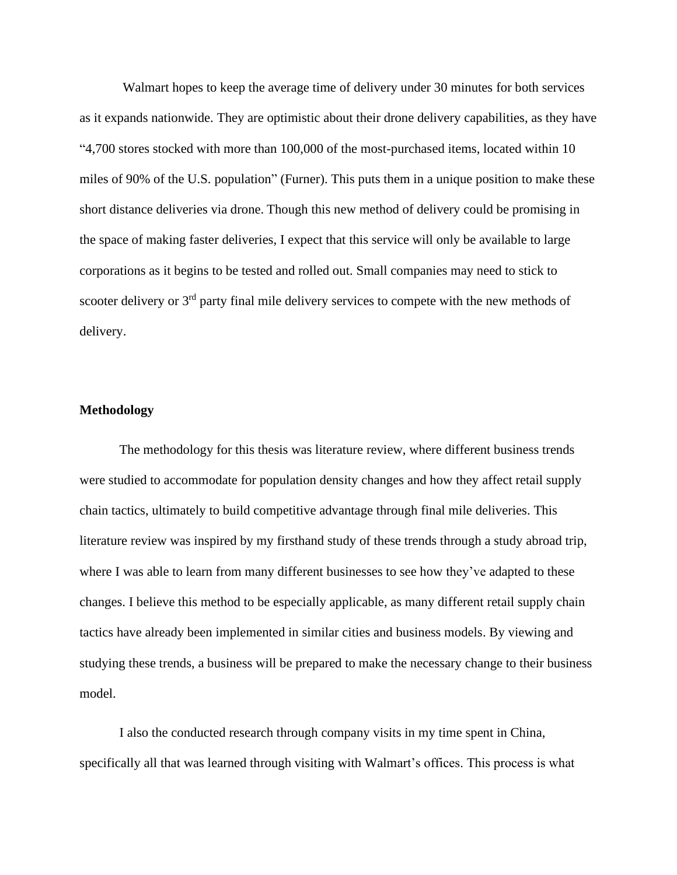Walmart hopes to keep the average time of delivery under 30 minutes for both services as it expands nationwide. They are optimistic about their drone delivery capabilities, as they have "4,700 stores stocked with more than 100,000 of the most-purchased items, located within 10 miles of 90% of the U.S. population" (Furner). This puts them in a unique position to make these short distance deliveries via drone. Though this new method of delivery could be promising in the space of making faster deliveries, I expect that this service will only be available to large corporations as it begins to be tested and rolled out. Small companies may need to stick to scooter delivery or 3<sup>rd</sup> party final mile delivery services to compete with the new methods of delivery.

### **Methodology**

The methodology for this thesis was literature review, where different business trends were studied to accommodate for population density changes and how they affect retail supply chain tactics, ultimately to build competitive advantage through final mile deliveries. This literature review was inspired by my firsthand study of these trends through a study abroad trip, where I was able to learn from many different businesses to see how they've adapted to these changes. I believe this method to be especially applicable, as many different retail supply chain tactics have already been implemented in similar cities and business models. By viewing and studying these trends, a business will be prepared to make the necessary change to their business model.

I also the conducted research through company visits in my time spent in China, specifically all that was learned through visiting with Walmart's offices. This process is what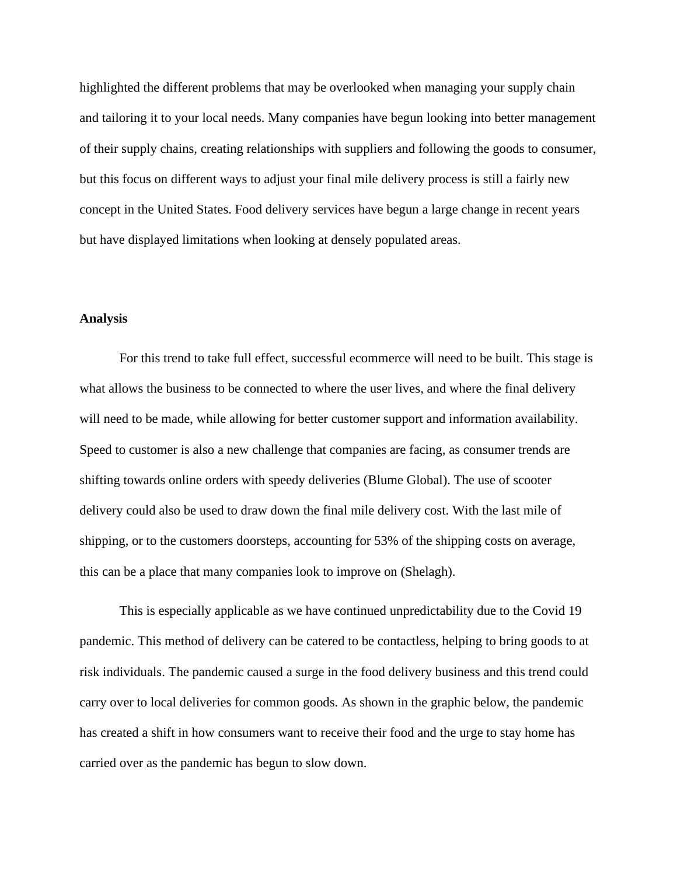highlighted the different problems that may be overlooked when managing your supply chain and tailoring it to your local needs. Many companies have begun looking into better management of their supply chains, creating relationships with suppliers and following the goods to consumer, but this focus on different ways to adjust your final mile delivery process is still a fairly new concept in the United States. Food delivery services have begun a large change in recent years but have displayed limitations when looking at densely populated areas.

#### **Analysis**

For this trend to take full effect, successful ecommerce will need to be built. This stage is what allows the business to be connected to where the user lives, and where the final delivery will need to be made, while allowing for better customer support and information availability. Speed to customer is also a new challenge that companies are facing, as consumer trends are shifting towards online orders with speedy deliveries (Blume Global). The use of scooter delivery could also be used to draw down the final mile delivery cost. With the last mile of shipping, or to the customers doorsteps, accounting for 53% of the shipping costs on average, this can be a place that many companies look to improve on (Shelagh).

This is especially applicable as we have continued unpredictability due to the Covid 19 pandemic. This method of delivery can be catered to be contactless, helping to bring goods to at risk individuals. The pandemic caused a surge in the food delivery business and this trend could carry over to local deliveries for common goods. As shown in the graphic below, the pandemic has created a shift in how consumers want to receive their food and the urge to stay home has carried over as the pandemic has begun to slow down.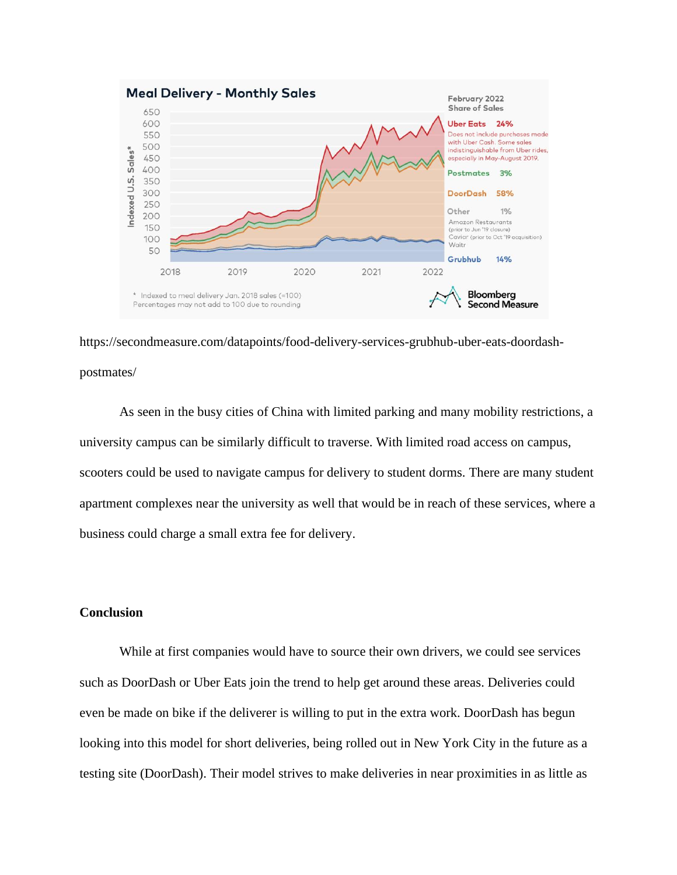

https://secondmeasure.com/datapoints/food-delivery-services-grubhub-uber-eats-doordashpostmates/

As seen in the busy cities of China with limited parking and many mobility restrictions, a university campus can be similarly difficult to traverse. With limited road access on campus, scooters could be used to navigate campus for delivery to student dorms. There are many student apartment complexes near the university as well that would be in reach of these services, where a business could charge a small extra fee for delivery.

## **Conclusion**

While at first companies would have to source their own drivers, we could see services such as DoorDash or Uber Eats join the trend to help get around these areas. Deliveries could even be made on bike if the deliverer is willing to put in the extra work. DoorDash has begun looking into this model for short deliveries, being rolled out in New York City in the future as a testing site (DoorDash). Their model strives to make deliveries in near proximities in as little as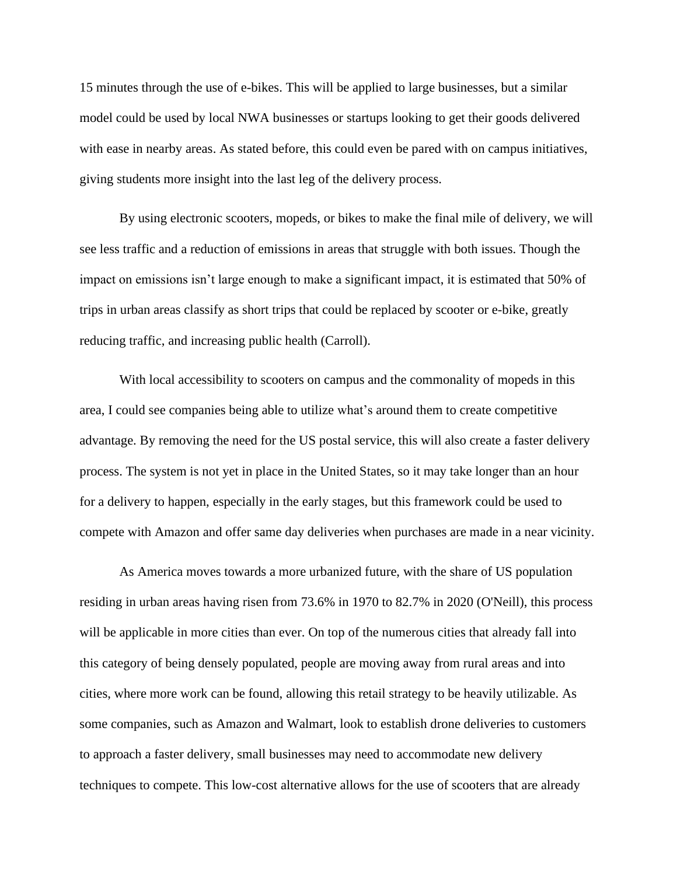15 minutes through the use of e-bikes. This will be applied to large businesses, but a similar model could be used by local NWA businesses or startups looking to get their goods delivered with ease in nearby areas. As stated before, this could even be pared with on campus initiatives, giving students more insight into the last leg of the delivery process.

By using electronic scooters, mopeds, or bikes to make the final mile of delivery, we will see less traffic and a reduction of emissions in areas that struggle with both issues. Though the impact on emissions isn't large enough to make a significant impact, it is estimated that 50% of trips in urban areas classify as short trips that could be replaced by scooter or e-bike, greatly reducing traffic, and increasing public health (Carroll).

With local accessibility to scooters on campus and the commonality of mopeds in this area, I could see companies being able to utilize what's around them to create competitive advantage. By removing the need for the US postal service, this will also create a faster delivery process. The system is not yet in place in the United States, so it may take longer than an hour for a delivery to happen, especially in the early stages, but this framework could be used to compete with Amazon and offer same day deliveries when purchases are made in a near vicinity.

As America moves towards a more urbanized future, with the share of US population residing in urban areas having risen from 73.6% in 1970 to 82.7% in 2020 (O'Neill), this process will be applicable in more cities than ever. On top of the numerous cities that already fall into this category of being densely populated, people are moving away from rural areas and into cities, where more work can be found, allowing this retail strategy to be heavily utilizable. As some companies, such as Amazon and Walmart, look to establish drone deliveries to customers to approach a faster delivery, small businesses may need to accommodate new delivery techniques to compete. This low-cost alternative allows for the use of scooters that are already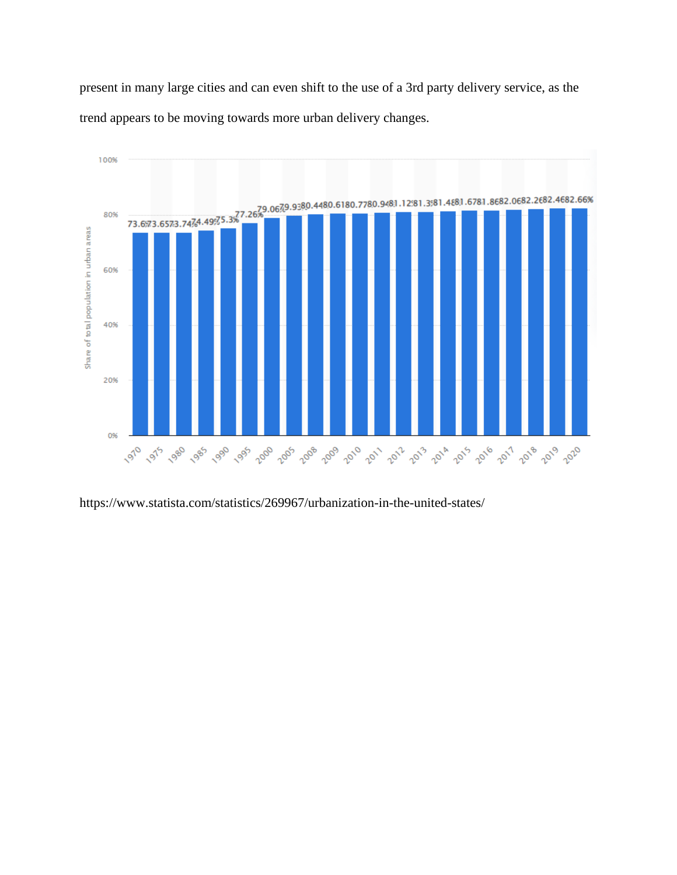present in many large cities and can even shift to the use of a 3rd party delivery service, as the trend appears to be moving towards more urban delivery changes.



https://www.statista.com/statistics/269967/urbanization-in-the-united-states/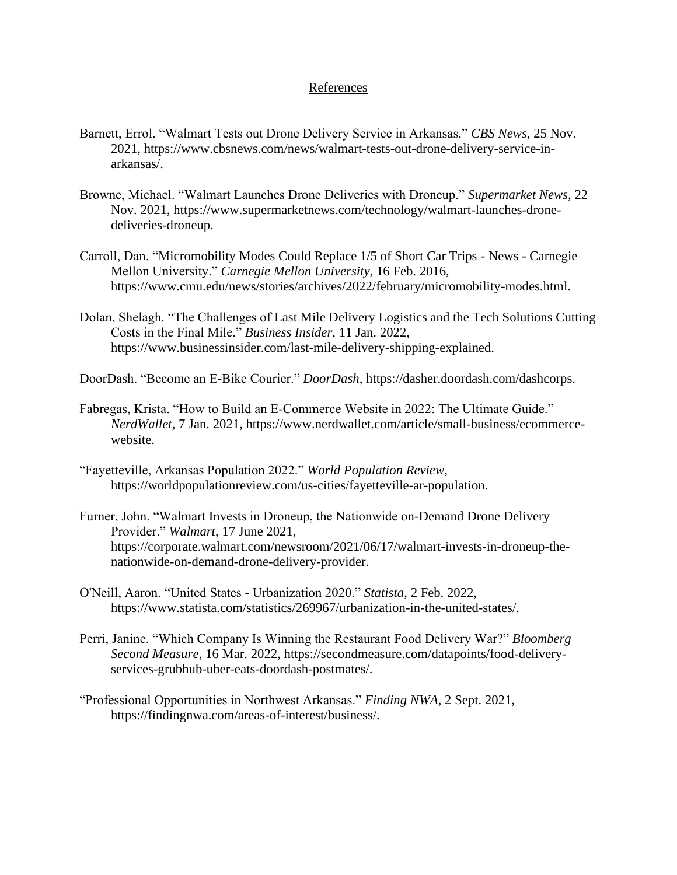### References

- Barnett, Errol. "Walmart Tests out Drone Delivery Service in Arkansas." *CBS News*, 25 Nov. 2021, https://www.cbsnews.com/news/walmart-tests-out-drone-delivery-service-inarkansas/.
- Browne, Michael. "Walmart Launches Drone Deliveries with Droneup." *Supermarket News*, 22 Nov. 2021, https://www.supermarketnews.com/technology/walmart-launches-dronedeliveries-droneup.
- Carroll, Dan. "Micromobility Modes Could Replace 1/5 of Short Car Trips News Carnegie Mellon University." *Carnegie Mellon University*, 16 Feb. 2016, https://www.cmu.edu/news/stories/archives/2022/february/micromobility-modes.html.
- Dolan, Shelagh. "The Challenges of Last Mile Delivery Logistics and the Tech Solutions Cutting Costs in the Final Mile." *Business Insider*, 11 Jan. 2022, https://www.businessinsider.com/last-mile-delivery-shipping-explained.
- DoorDash. "Become an E-Bike Courier." *DoorDash*, https://dasher.doordash.com/dashcorps.
- Fabregas, Krista. "How to Build an E-Commerce Website in 2022: The Ultimate Guide." *NerdWallet*, 7 Jan. 2021, https://www.nerdwallet.com/article/small-business/ecommercewebsite.
- "Fayetteville, Arkansas Population 2022." *World Population Review*, https://worldpopulationreview.com/us-cities/fayetteville-ar-population.
- Furner, John. "Walmart Invests in Droneup, the Nationwide on-Demand Drone Delivery Provider." *Walmart*, 17 June 2021, https://corporate.walmart.com/newsroom/2021/06/17/walmart-invests-in-droneup-thenationwide-on-demand-drone-delivery-provider.
- O'Neill, Aaron. "United States Urbanization 2020." *Statista*, 2 Feb. 2022, https://www.statista.com/statistics/269967/urbanization-in-the-united-states/.
- Perri, Janine. "Which Company Is Winning the Restaurant Food Delivery War?" *Bloomberg Second Measure*, 16 Mar. 2022, https://secondmeasure.com/datapoints/food-deliveryservices-grubhub-uber-eats-doordash-postmates/.
- "Professional Opportunities in Northwest Arkansas." *Finding NWA*, 2 Sept. 2021, https://findingnwa.com/areas-of-interest/business/.